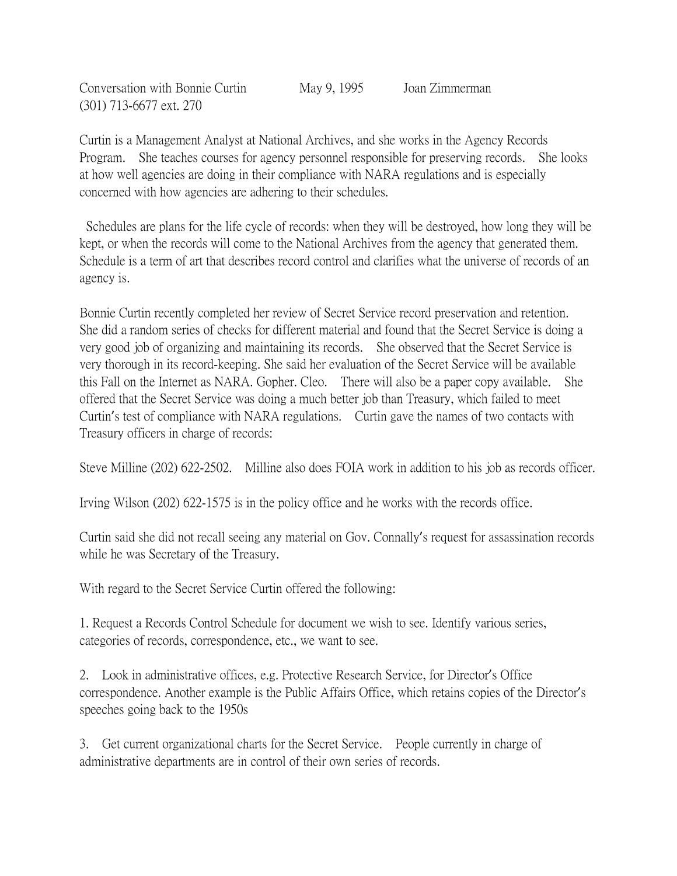Conversation with Bonnie Curtin May 9, 1995 Joan Zimmerman (301) 713-6677 ext. 270

Curtin is a Management Analyst at National Archives, and she works in the Agency Records Program. She teaches courses for agency personnel responsible for preserving records. She looks at how well agencies are doing in their compliance with NARA regulations and is especially concerned with how agencies are adhering to their schedules.

Schedules are plans for the life cycle of records: when they will be destroyed, how long they will be kept, or when the records will come to the National Archives from the agency that generated them. Schedule is a term of art that describes record control and clarifies what the universe of records of an agency is.

Bonnie Curtin recently completed her review of Secret Service record preservation and retention. She did a random series of checks for different material and found that the Secret Service is doing a very good job of organizing and maintaining its records. She observed that the Secret Service is very thorough in its record-keeping. She said her evaluation of the Secret Service will be available this Fall on the Internet as NARA. Gopher. Cleo. There will also be a paper copy available. She offered that the Secret Service was doing a much better job than Treasury, which failed to meet Curtin's test of compliance with NARA regulations. Curtin gave the names of two contacts with Treasury officers in charge of records:

Steve Milline (202) 622-2502. Milline also does FOIA work in addition to his job as records officer.

Irving Wilson (202) 622-1575 is in the policy office and he works with the records office.

Curtin said she did not recall seeing any material on Gov. Connally's request for assassination records while he was Secretary of the Treasury.

With regard to the Secret Service Curtin offered the following:

1. Request a Records Control Schedule for document we wish to see. Identify various series, categories of records, correspondence, etc., we want to see.

2. Look in administrative offices, e.g. Protective Research Service, for Director's Office correspondence. Another example is the Public Affairs Office, which retains copies of the Director's speeches going back to the 1950s

3. Get current organizational charts for the Secret Service. People currently in charge of administrative departments are in control of their own series of records.